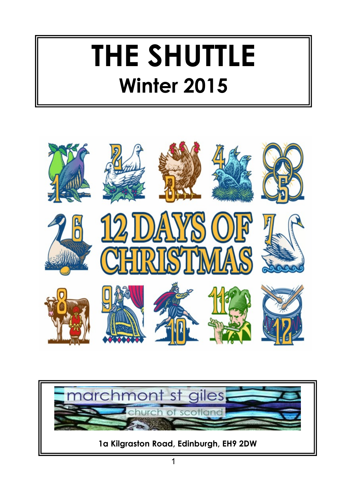# **THE SHUTTLE Winter 2015**



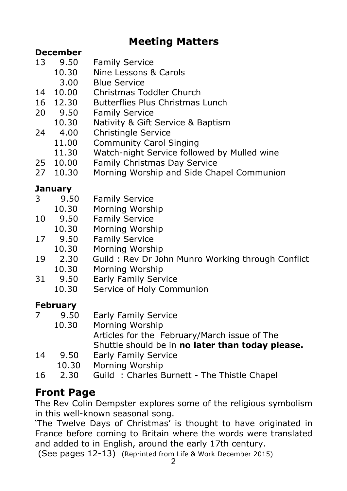# **Meeting Matters**

#### **December**

- 13 9.50 Family Service
	- 10.30 Nine Lessons & Carols
		- 3.00 Blue Service
- 14 10.00 Christmas Toddler Church
- 16 12.30 Butterflies Plus Christmas Lunch
- 20 9.50 Family Service
- 10.30 Nativity & Gift Service & Baptism
- 24 4.00 Christingle Service
	- 11.00 Community Carol Singing
	- 11.30 Watch-night Service followed by Mulled wine
- 25 10.00 Family Christmas Day Service
- 27 10.30 Morning Worship and Side Chapel Communion

### **January**

- 3 9.50 Family Service
- 10.30 Morning Worship
- 10 9.50 Family Service
	- Morning Worship
- 17 9.50 Family Service
	- 10.30 Morning Worship
- 19 2.30 Guild : Rev Dr John Munro Working through Conflict
	- 10.30 Morning Worship
- 31 9.50 Early Family Service
	- 10.30 Service of Holy Communion

## **February**

- 7 9.50 Early Family Service
	- 10.30 Morning Worship Articles for the February/March issue of The Shuttle should be in **no later than today please.**
- 14 9.50 Early Family Service
	- 10.30 Morning Worship
- 16 2.30 Guild : Charles Burnett The Thistle Chapel

# **Front Page**

The Rev Colin Dempster explores some of the religious symbolism in this well-known seasonal song.

'The Twelve Days of Christmas' is thought to have originated in France before coming to Britain where the words were translated and added to in English, around the early 17th century.

(See pages 12-13) (Reprinted from Life & Work December 2015)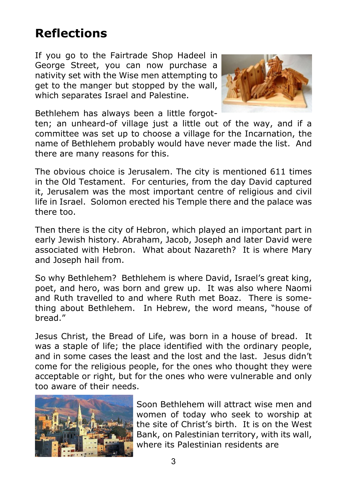# **Reflections**

If you go to the Fairtrade Shop Hadeel in George Street, you can now purchase a nativity set with the Wise men attempting to get to the manger but stopped by the wall, which separates Israel and Palestine.



Bethlehem has always been a little forgot-

ten; an unheard-of village just a little out of the way, and if a committee was set up to choose a village for the Incarnation, the name of Bethlehem probably would have never made the list. And there are many reasons for this.

The obvious choice is Jerusalem. The city is mentioned 611 times in the Old Testament. For centuries, from the day David captured it, Jerusalem was the most important centre of religious and civil life in Israel. Solomon erected his Temple there and the palace was there too.

Then there is the city of Hebron, which played an important part in early Jewish history. Abraham, Jacob, Joseph and later David were associated with Hebron. What about Nazareth? It is where Mary and Joseph hail from.

So why Bethlehem? Bethlehem is where David, Israel's great king, poet, and hero, was born and grew up. It was also where Naomi and Ruth travelled to and where Ruth met Boaz. There is something about Bethlehem. In Hebrew, the word means, "house of bread."

Jesus Christ, the Bread of Life, was born in a house of bread. It was a staple of life; the place identified with the ordinary people, and in some cases the least and the lost and the last. Jesus didn't come for the religious people, for the ones who thought they were acceptable or right, but for the ones who were vulnerable and only too aware of their needs.



Soon Bethlehem will attract wise men and women of today who seek to worship at the site of Christ's birth. It is on the West Bank, on Palestinian territory, with its wall, where its Palestinian residents are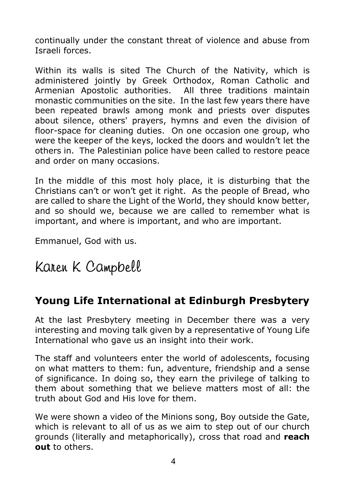continually under the constant threat of violence and abuse from Israeli forces.

Within its walls is sited The Church of the Nativity, which is administered jointly by Greek Orthodox, Roman Catholic and Armenian Apostolic authorities. All three traditions maintain monastic communities on the site. In the last few years there have been repeated brawls among monk and priests over disputes about silence, others' prayers, hymns and even the division of floor-space for cleaning duties. On one occasion one group, who were the keeper of the keys, locked the doors and wouldn't let the others in. The Palestinian police have been called to restore peace and order on many occasions.

In the middle of this most holy place, it is disturbing that the Christians can't or won't get it right. As the people of Bread, who are called to share the Light of the World, they should know better, and so should we, because we are called to remember what is important, and where is important, and who are important.

Emmanuel, God with us.

# Karen K Campbell

#### **Young Life International at Edinburgh Presbytery**

At the last Presbytery meeting in December there was a very interesting and moving talk given by a representative of Young Life International who gave us an insight into their work.

The staff and volunteers enter the world of adolescents, focusing on what matters to them: fun, adventure, friendship and a sense of significance. In doing so, they earn the privilege of talking to them about something that we believe matters most of all: the truth about God and His love for them.

We were shown a video of the Minions song, Boy outside the Gate, which is relevant to all of us as we aim to step out of our church grounds (literally and metaphorically), cross that road and **reach out** to others.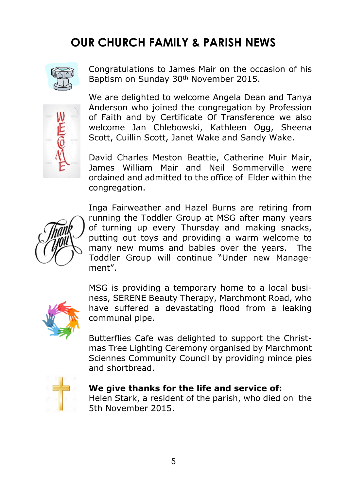# **OUR CHURCH FAMILY & PARISH NEWS**



Congratulations to James Mair on the occasion of his Baptism on Sunday 30th November 2015.



We are delighted to welcome Angela Dean and Tanya Anderson who joined the congregation by Profession of Faith and by Certificate Of Transference we also welcome Jan Chlebowski, Kathleen Ogg, Sheena Scott, Cuillin Scott, Janet Wake and Sandy Wake.

David Charles Meston Beattie, Catherine Muir Mair, James William Mair and Neil Sommerville were ordained and admitted to the office of Elder within the congregation.



Inga Fairweather and Hazel Burns are retiring from running the Toddler Group at MSG after many years of turning up every Thursday and making snacks, putting out toys and providing a warm welcome to many new mums and babies over the years. The Toddler Group will continue "Under new Management".



MSG is providing a temporary home to a local business, SERENE Beauty Therapy, Marchmont Road, who have suffered a devastating flood from a leaking communal pipe.

Butterflies Cafe was delighted to support the Christmas Tree Lighting Ceremony organised by Marchmont Sciennes Community Council by providing mince pies and shortbread.



#### **We give thanks for the life and service of:**

Helen Stark, a resident of the parish, who died on the 5th November 2015.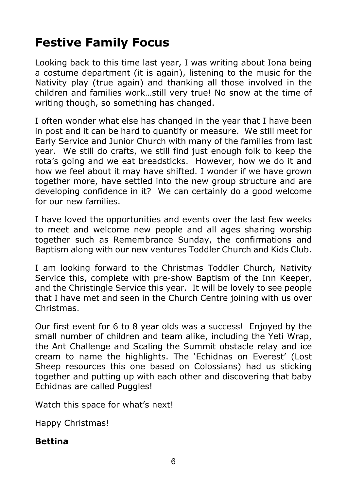# **Festive Family Focus**

Looking back to this time last year, I was writing about Iona being a costume department (it is again), listening to the music for the Nativity play (true again) and thanking all those involved in the children and families work…still very true! No snow at the time of writing though, so something has changed.

I often wonder what else has changed in the year that I have been in post and it can be hard to quantify or measure. We still meet for Early Service and Junior Church with many of the families from last year. We still do crafts, we still find just enough folk to keep the rota's going and we eat breadsticks. However, how we do it and how we feel about it may have shifted. I wonder if we have grown together more, have settled into the new group structure and are developing confidence in it? We can certainly do a good welcome for our new families.

I have loved the opportunities and events over the last few weeks to meet and welcome new people and all ages sharing worship together such as Remembrance Sunday, the confirmations and Baptism along with our new ventures Toddler Church and Kids Club.

I am looking forward to the Christmas Toddler Church, Nativity Service this, complete with pre-show Baptism of the Inn Keeper, and the Christingle Service this year. It will be lovely to see people that I have met and seen in the Church Centre joining with us over Christmas.

Our first event for 6 to 8 year olds was a success! Enjoyed by the small number of children and team alike, including the Yeti Wrap, the Ant Challenge and Scaling the Summit obstacle relay and ice cream to name the highlights. The 'Echidnas on Everest' (Lost Sheep resources this one based on Colossians) had us sticking together and putting up with each other and discovering that baby Echidnas are called Puggles!

Watch this space for what's next!

Happy Christmas!

#### **Bettina**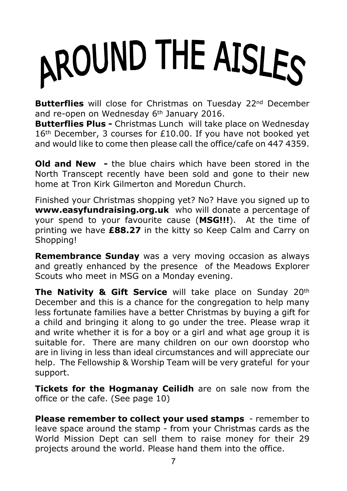# AROUND THE AISLES

**Butterflies** will close for Christmas on Tuesday 22<sup>nd</sup> December and re-open on Wednesday 6<sup>th</sup> January 2016.

**Butterflies Plus -** Christmas Lunch will take place on Wednesday 16<sup>th</sup> December, 3 courses for £10.00. If you have not booked yet and would like to come then please call the office/cafe on 447 4359.

**Old and New -** the blue chairs which have been stored in the North Transcept recently have been sold and gone to their new home at Tron Kirk Gilmerton and Moredun Church.

Finished your Christmas shopping yet? No? Have you signed up to **www.easyfundraising.org.uk** who will donate a percentage of your spend to your favourite cause (**MSG!!!**). At the time of printing we have **£88.27** in the kitty so Keep Calm and Carry on Shopping!

**Remembrance Sunday** was a very moving occasion as always and greatly enhanced by the presence of the Meadows Explorer Scouts who meet in MSG on a Monday evening.

**The Nativity & Gift Service** will take place on Sunday 20th December and this is a chance for the congregation to help many less fortunate families have a better Christmas by buying a gift for a child and bringing it along to go under the tree. Please wrap it and write whether it is for a boy or a girl and what age group it is suitable for. There are many children on our own doorstop who are in living in less than ideal circumstances and will appreciate our help. The Fellowship & Worship Team will be very grateful for your support.

**Tickets for the Hogmanay Ceilidh** are on sale now from the office or the cafe. (See page 10)

**Please remember to collect your used stamps** - remember to leave space around the stamp - from your Christmas cards as the World Mission Dept can sell them to raise money for their 29 projects around the world. Please hand them into the office.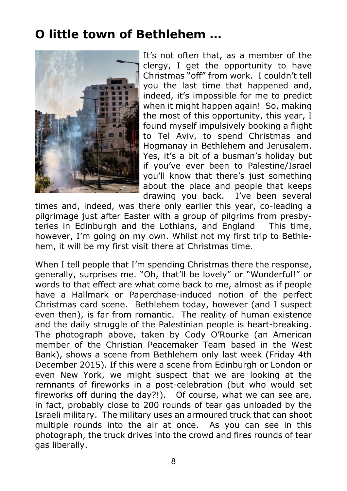# **O little town of Bethlehem …**



It's not often that, as a member of the clergy, I get the opportunity to have Christmas "off" from work. I couldn't tell you the last time that happened and, indeed, it's impossible for me to predict when it might happen again! So, making the most of this opportunity, this year, I found myself impulsively booking a flight to Tel Aviv, to spend Christmas and Hogmanay in Bethlehem and Jerusalem. Yes, it's a bit of a busman's holiday but if you've ever been to Palestine/Israel you'll know that there's just something about the place and people that keeps<br>drawing you back. I've been several drawing you back.

times and, indeed, was there only earlier this year, co-leading a pilgrimage just after Easter with a group of pilgrims from presbyteries in Edinburgh and the Lothians, and England This time, however, I'm going on my own. Whilst not my first trip to Bethlehem, it will be my first visit there at Christmas time.

When I tell people that I'm spending Christmas there the response, generally, surprises me. "Oh, that'll be lovely" or "Wonderful!" or words to that effect are what come back to me, almost as if people have a Hallmark or Paperchase-induced notion of the perfect Christmas card scene. Bethlehem today, however (and I suspect even then), is far from romantic. The reality of human existence and the daily struggle of the Palestinian people is heart-breaking. The photograph above, taken by Cody O'Rourke (an American member of the Christian Peacemaker Team based in the West Bank), shows a scene from Bethlehem only last week (Friday 4th December 2015). If this were a scene from Edinburgh or London or even New York, we might suspect that we are looking at the remnants of fireworks in a post-celebration (but who would set fireworks off during the day?!). Of course, what we can see are, in fact, probably close to 200 rounds of tear gas unloaded by the Israeli military. The military uses an armoured truck that can shoot multiple rounds into the air at once. As you can see in this photograph, the truck drives into the crowd and fires rounds of tear gas liberally.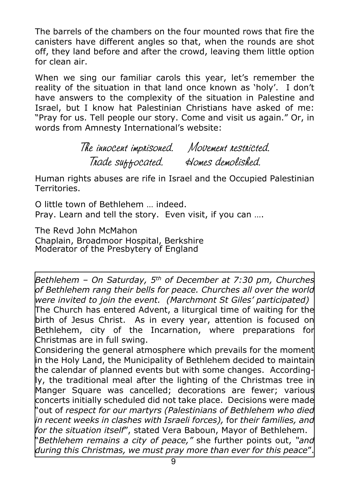The barrels of the chambers on the four mounted rows that fire the canisters have different angles so that, when the rounds are shot off, they land before and after the crowd, leaving them little option for clean air.

When we sing our familiar carols this year, let's remember the reality of the situation in that land once known as 'holy'. I don't have answers to the complexity of the situation in Palestine and Israel, but I know hat Palestinian Christians have asked of me: "Pray for us. Tell people our story. Come and visit us again." Or, in words from Amnesty International's website:

> The innocent imprisoned. Movement restricted. Trade suffocated. Homes demolished.

Human rights abuses are rife in Israel and the Occupied Palestinian Territories.

O little town of Bethlehem … indeed. Pray. Learn and tell the story. Even visit, if you can ….

The Revd John McMahon Chaplain, Broadmoor Hospital, Berkshire Moderator of the Presbytery of England

*Bethlehem – On Saturday, 5th of December at 7:30 pm, Churches of Bethlehem rang their bells for peace. Churches all over the world were invited to join the event. (Marchmont St Giles' participated)* The Church has entered Advent, a liturgical time of waiting for the birth of Jesus Christ. As in every year, attention is focused on Bethlehem, city of the Incarnation, where preparations for Christmas are in full swing.

Considering the general atmosphere which prevails for the moment in the Holy Land, the Municipality of Bethlehem decided to maintain the calendar of planned events but with some changes. Accordingly, the traditional meal after the lighting of the Christmas tree in Manger Square was cancelled; decorations are fewer; various concerts initially scheduled did not take place. Decisions were made "out of *respect for our martyrs (Palestinians of Bethlehem who died in recent weeks in clashes with Israeli forces),* for *their families, and for the situation itself*", stated Vera Baboun, Mayor of Bethlehem. "*Bethlehem remains a city of peace,"* she further points out, *"and during this Christmas, we must pray more than ever for this peace*".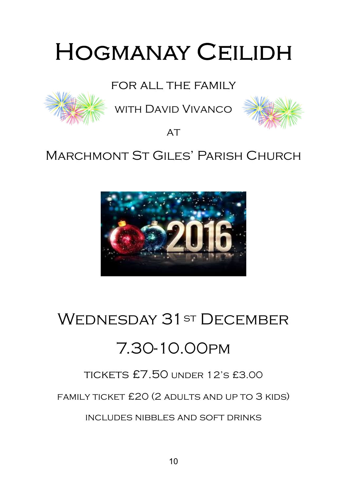# **HOGMANAY CEILIDH**

# for all the family



with David Vivanco



 $AT$ 

# MARCHMONT ST GILES' PARISH CHURCH



# WEDNESDAY 31ST DECEMBER

# 7.30-10.00pm

# tickets £7.50 under 12's £3.00

family ticket £20 (2 adults and up to 3 kids)

includes nibbles and soft drinks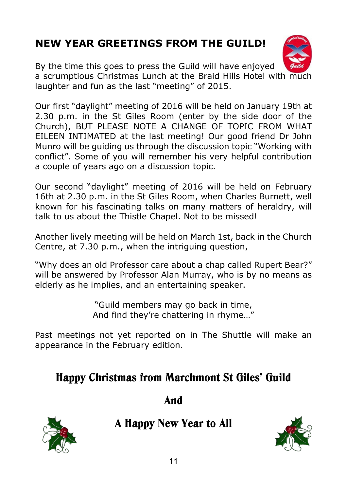# **NEW YEAR GREETINGS FROM THE GUILD!**



By the time this goes to press the Guild will have enjoyed a scrumptious Christmas Lunch at the Braid Hills Hotel with much laughter and fun as the last "meeting" of 2015.

Our first "daylight" meeting of 2016 will be held on January 19th at 2.30 p.m. in the St Giles Room (enter by the side door of the Church), BUT PLEASE NOTE A CHANGE OF TOPIC FROM WHAT EILEEN INTIMATED at the last meeting! Our good friend Dr John Munro will be guiding us through the discussion topic "Working with conflict". Some of you will remember his very helpful contribution a couple of years ago on a discussion topic.

Our second "daylight" meeting of 2016 will be held on February 16th at 2.30 p.m. in the St Giles Room, when Charles Burnett, well known for his fascinating talks on many matters of heraldry, will talk to us about the Thistle Chapel. Not to be missed!

Another lively meeting will be held on March 1st, back in the Church Centre, at 7.30 p.m., when the intriguing question,

"Why does an old Professor care about a chap called Rupert Bear?" will be answered by Professor Alan Murray, who is by no means as elderly as he implies, and an entertaining speaker.

> "Guild members may go back in time, And find they're chattering in rhyme…"

Past meetings not yet reported on in The Shuttle will make an appearance in the February edition.

# **Happy Christmas from Marchmont St Giles' Guild**

**And**



**A Happy New Year to All**

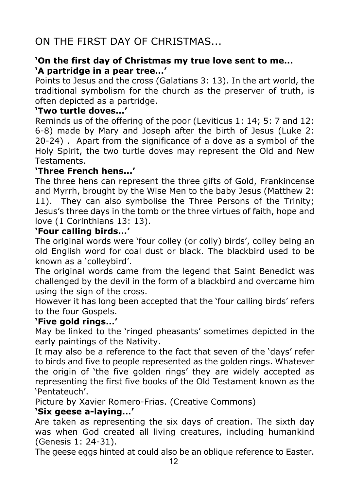# ON THE FIRST DAY OF CHRISTMAS...

#### **'On the first day of Christmas my true love sent to me... 'A partridge in a pear tree...'**

Points to Jesus and the cross (Galatians 3: 13). In the art world, the traditional symbolism for the church as the preserver of truth, is often depicted as a partridge.

#### **'Two turtle doves...'**

Reminds us of the offering of the poor (Leviticus 1: 14; 5: 7 and 12: 6-8) made by Mary and Joseph after the birth of Jesus (Luke 2: 20-24) . Apart from the significance of a dove as a symbol of the Holy Spirit, the two turtle doves may represent the Old and New Testaments.

#### **'Three French hens...'**

The three hens can represent the three gifts of Gold, Frankincense and Myrrh, brought by the Wise Men to the baby Jesus (Matthew 2: 11). They can also symbolise the Three Persons of the Trinity; Jesus's three days in the tomb or the three virtues of faith, hope and love (1 Corinthians 13: 13).

#### **'Four calling birds...'**

The original words were 'four colley (or colly) birds', colley being an old English word for coal dust or black. The blackbird used to be known as a 'colleybird'.

The original words came from the legend that Saint Benedict was challenged by the devil in the form of a blackbird and overcame him using the sign of the cross.

However it has long been accepted that the 'four calling birds' refers to the four Gospels.

#### **'Five gold rings...'**

May be linked to the 'ringed pheasants' sometimes depicted in the early paintings of the Nativity.

It may also be a reference to the fact that seven of the 'days' refer to birds and five to people represented as the golden rings. Whatever the origin of 'the five golden rings' they are widely accepted as representing the first five books of the Old Testament known as the 'Pentateuch'.

Picture by Xavier Romero-Frias. (Creative Commons)

#### **'Six geese a-laying...'**

Are taken as representing the six days of creation. The sixth day was when God created all living creatures, including humankind (Genesis 1: 24-31).

The geese eggs hinted at could also be an oblique reference to Easter.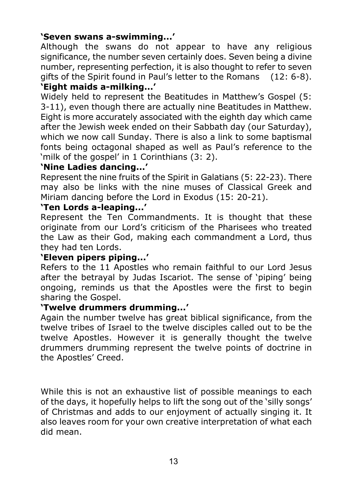#### **'Seven swans a-swimming...'**

Although the swans do not appear to have any religious significance, the number seven certainly does. Seven being a divine number, representing perfection, it is also thought to refer to seven gifts of the Spirit found in Paul's letter to the Romans (12: 6-8). **'Eight maids a-milking...'**

Widely held to represent the Beatitudes in Matthew's Gospel (5: 3-11), even though there are actually nine Beatitudes in Matthew. Eight is more accurately associated with the eighth day which came after the Jewish week ended on their Sabbath day (our Saturday), which we now call Sunday. There is also a link to some baptismal fonts being octagonal shaped as well as Paul's reference to the 'milk of the gospel' in 1 Corinthians (3: 2).

#### **'Nine Ladies dancing...'**

Represent the nine fruits of the Spirit in Galatians (5: 22-23). There may also be links with the nine muses of Classical Greek and Miriam dancing before the Lord in Exodus (15: 20-21).

#### **'Ten Lords a-leaping...'**

Represent the Ten Commandments. It is thought that these originate from our Lord's criticism of the Pharisees who treated the Law as their God, making each commandment a Lord, thus they had ten Lords.

#### **'Eleven pipers piping...'**

Refers to the 11 Apostles who remain faithful to our Lord Jesus after the betrayal by Judas Iscariot. The sense of 'piping' being ongoing, reminds us that the Apostles were the first to begin sharing the Gospel.

#### **'Twelve drummers drumming...'**

Again the number twelve has great biblical significance, from the twelve tribes of Israel to the twelve disciples called out to be the twelve Apostles. However it is generally thought the twelve drummers drumming represent the twelve points of doctrine in the Apostles' Creed.

While this is not an exhaustive list of possible meanings to each of the days, it hopefully helps to lift the song out of the 'silly songs' of Christmas and adds to our enjoyment of actually singing it. It also leaves room for your own creative interpretation of what each did mean.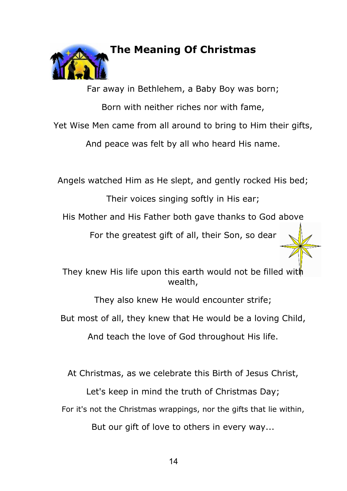

#### **The Meaning Of Christmas**

Far away in Bethlehem, a Baby Boy was born; Born with neither riches nor with fame, Yet Wise Men came from all around to bring to Him their gifts, And peace was felt by all who heard His name.

Angels watched Him as He slept, and gently rocked His bed;

Their voices singing softly in His ear;

His Mother and His Father both gave thanks to God above

For the greatest gift of all, their Son, so dear

They knew His life upon this earth would not be filled with wealth,

They also knew He would encounter strife; But most of all, they knew that He would be a loving Child,

And teach the love of God throughout His life.

At Christmas, as we celebrate this Birth of Jesus Christ,

Let's keep in mind the truth of Christmas Day;

For it's not the Christmas wrappings, nor the gifts that lie within,

But our gift of love to others in every way...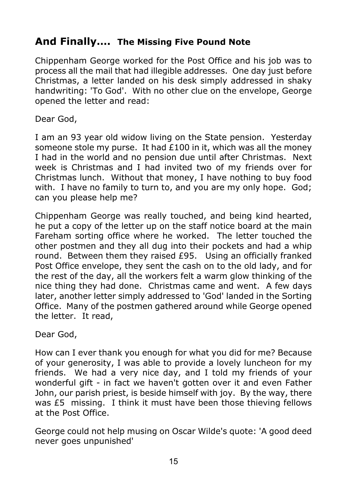# **And Finally…. The Missing Five Pound Note**

Chippenham George worked for the Post Office and his job was to process all the mail that had illegible addresses. One day just before Christmas, a letter landed on his desk simply addressed in shaky handwriting: 'To God'. With no other clue on the envelope, George opened the letter and read:

Dear God,

I am an 93 year old widow living on the State pension. Yesterday someone stole my purse. It had £100 in it, which was all the money I had in the world and no pension due until after Christmas. Next week is Christmas and I had invited two of my friends over for Christmas lunch. Without that money, I have nothing to buy food with. I have no family to turn to, and you are my only hope. God; can you please help me?

Chippenham George was really touched, and being kind hearted, he put a copy of the letter up on the staff notice board at the main Fareham sorting office where he worked. The letter touched the other postmen and they all dug into their pockets and had a whip round. Between them they raised £95. Using an officially franked Post Office envelope, they sent the cash on to the old lady, and for the rest of the day, all the workers felt a warm glow thinking of the nice thing they had done. Christmas came and went. A few days later, another letter simply addressed to 'God' landed in the Sorting Office. Many of the postmen gathered around while George opened the letter. It read,

Dear God,

How can I ever thank you enough for what you did for me? Because of your generosity, I was able to provide a lovely luncheon for my friends. We had a very nice day, and I told my friends of your wonderful gift - in fact we haven't gotten over it and even Father John, our parish priest, is beside himself with joy. By the way, there was £5 missing. I think it must have been those thieving fellows at the Post Office.

George could not help musing on Oscar Wilde's quote: 'A good deed never goes unpunished'